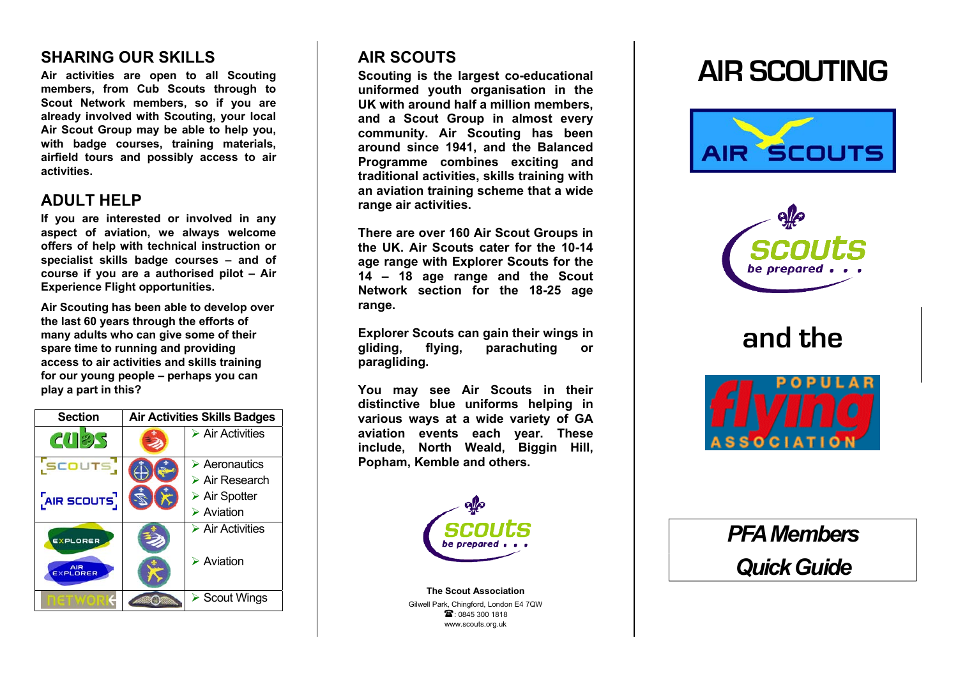## **SHARING OUR SKILLS**

**Air activities are open to all Scouting members, from Cub Scouts through to Scout Network members, so if you are already involved with Scouting, your local Air Scout Group may be able to help you, with badge courses, training materials, airfield tours and possibly access to air activities.** 

## **ADULT HELP**

**If you are interested or involved in any aspect of aviation, we always welcome offers of help with technical instruction or specialist skills badge courses – and of course if you are a authorised pilot – Air Experience Flight opportunities.** 

**Air Scouting has been able to develop over the last 60 years through the efforts of many adults who can give some of their spare time to running and providing access to air activities and skills training for our young people – perhaps you can play a part in this?**



## **AIR SCOUTS**

**Scouting is the largest co-educational uniformed youth organisation in the UK with around half a million members, and a Scout Group in almost every community. Air Scouting has been around since 1941, and the Balanced Programme combines exciting and traditional activities, skills training with an aviation training scheme that a wide range air activities.** 

**There are over 160 Air Scout Groups in the UK. Air Scouts cater for the 10-14 age range with Explorer Scouts for the 14 – 18 age range and the Scout Network section for the 18-25 age range.** 

**Explorer Scouts can gain their wings in gliding, flying, parachuting or paragliding.** 

**You may see Air Scouts in their distinctive blue uniforms helping in various ways at a wide variety of GA aviation events each year. These include, North Weald, Biggin Hill, Popham, Kemble and others.**



**The Scout Association** Gilwell Park, Chingford, London E4 7QW  $\mathbb{R}$ : 0845 300 1818 www.scouts.org.uk

# **AIR SCOUTING**





**and the** 



*PFA Members Quick Guide*